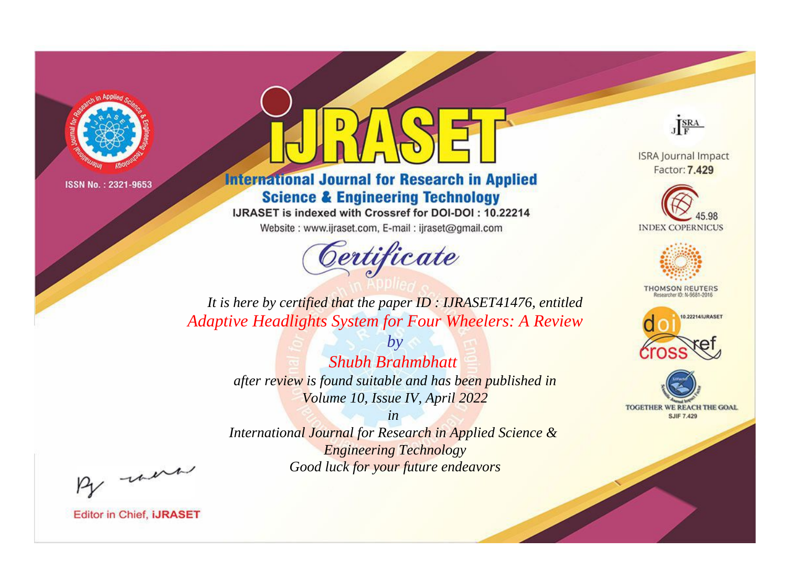

## **International Journal for Research in Applied Science & Engineering Technology**

IJRASET is indexed with Crossref for DOI-DOI: 10.22214

Website: www.ijraset.com, E-mail: ijraset@gmail.com



JERA

**ISRA Journal Impact** Factor: 7.429





**THOMSON REUTERS** 



TOGETHER WE REACH THE GOAL **SJIF 7.429** 

*It is here by certified that the paper ID : IJRASET41476, entitled Adaptive Headlights System for Four Wheelers: A Review*

> *Shubh Brahmbhatt after review is found suitable and has been published in Volume 10, Issue IV, April 2022*

*by*

*in* 

*International Journal for Research in Applied Science & Engineering Technology Good luck for your future endeavors*

By morn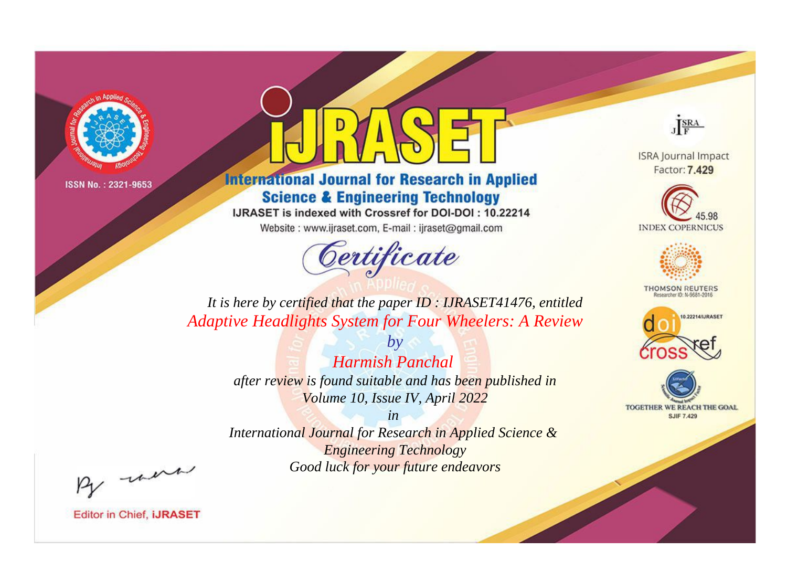

## **International Journal for Research in Applied Science & Engineering Technology**

IJRASET is indexed with Crossref for DOI-DOI: 10.22214

Website: www.ijraset.com, E-mail: ijraset@gmail.com



JERA

**ISRA Journal Impact** Factor: 7.429





**THOMSON REUTERS** 



TOGETHER WE REACH THE GOAL **SJIF 7.429** 

*It is here by certified that the paper ID : IJRASET41476, entitled Adaptive Headlights System for Four Wheelers: A Review*

> *Harmish Panchal after review is found suitable and has been published in Volume 10, Issue IV, April 2022*

*by*

*in* 

*International Journal for Research in Applied Science & Engineering Technology Good luck for your future endeavors*

By morn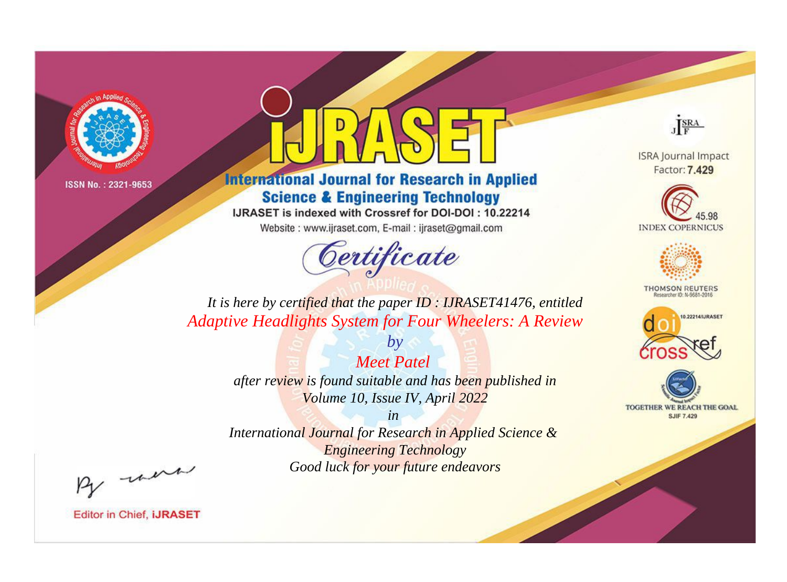

## **International Journal for Research in Applied Science & Engineering Technology**

IJRASET is indexed with Crossref for DOI-DOI: 10.22214

Website: www.ijraset.com, E-mail: ijraset@gmail.com



JERA

**ISRA Journal Impact** Factor: 7.429





**THOMSON REUTERS** 



TOGETHER WE REACH THE GOAL **SJIF 7.429** 

*It is here by certified that the paper ID : IJRASET41476, entitled Adaptive Headlights System for Four Wheelers: A Review*

> *Meet Patel after review is found suitable and has been published in Volume 10, Issue IV, April 2022*

*by*

*in* 

*International Journal for Research in Applied Science & Engineering Technology Good luck for your future endeavors*

By morn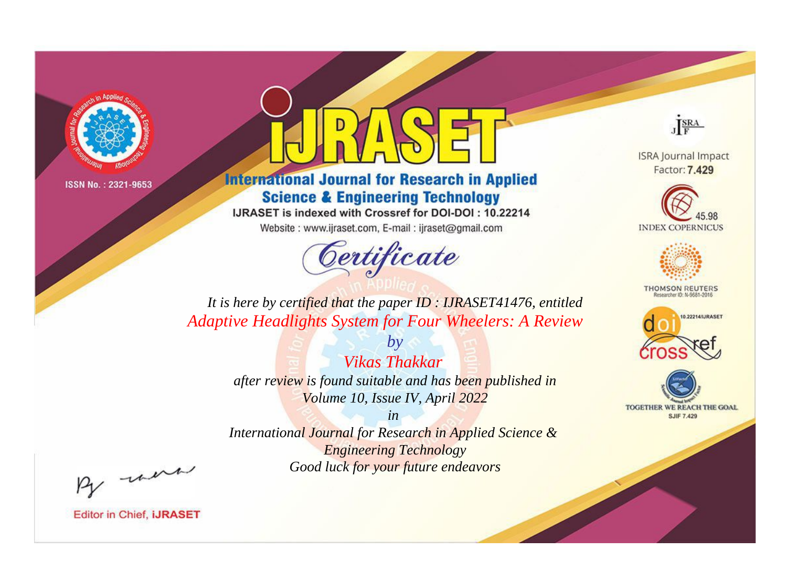

# **International Journal for Research in Applied Science & Engineering Technology**

IJRASET is indexed with Crossref for DOI-DOI: 10.22214

Website: www.ijraset.com, E-mail: ijraset@gmail.com



JERA

**ISRA Journal Impact** Factor: 7.429





**THOMSON REUTERS** 



TOGETHER WE REACH THE GOAL **SJIF 7.429** 

*It is here by certified that the paper ID : IJRASET41476, entitled Adaptive Headlights System for Four Wheelers: A Review*

> *by Vikas Thakkar after review is found suitable and has been published in Volume 10, Issue IV, April 2022*

> > *in*

*International Journal for Research in Applied Science & Engineering Technology Good luck for your future endeavors*

By morn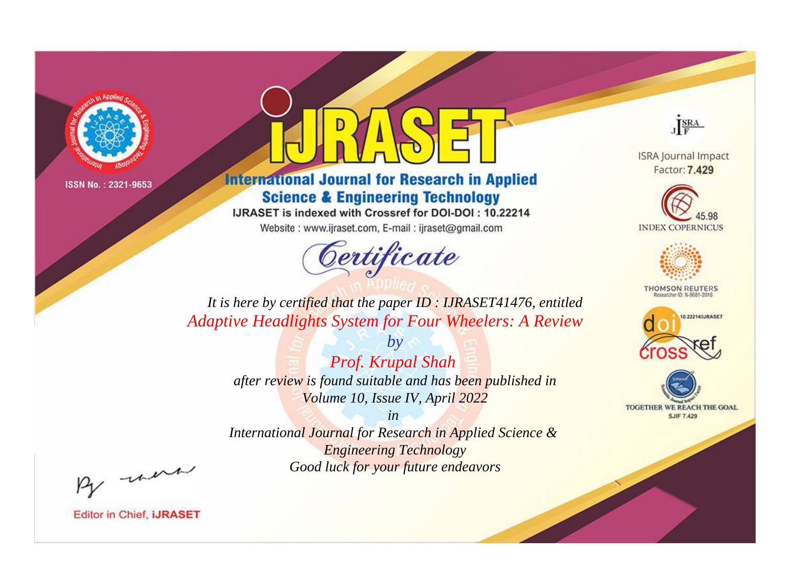

## **International Journal for Research in Applied Science & Engineering Technology**

IJRASET is indexed with Crossref for DOI-DOI: 10.22214

Website: www.ijraset.com, E-mail: ijraset@gmail.com



JERA

**ISRA Journal Impact** Factor: 7.429





**THOMSON REUTERS** 



TOGETHER WE REACH THE GOAL **SJIF 7.429** 

*It is here by certified that the paper ID : IJRASET41476, entitled Adaptive Headlights System for Four Wheelers: A Review*

> *by Prof. Krupal Shah after review is found suitable and has been published in Volume 10, Issue IV, April 2022*

> > *in*

*International Journal for Research in Applied Science & Engineering Technology Good luck for your future endeavors*

By morn